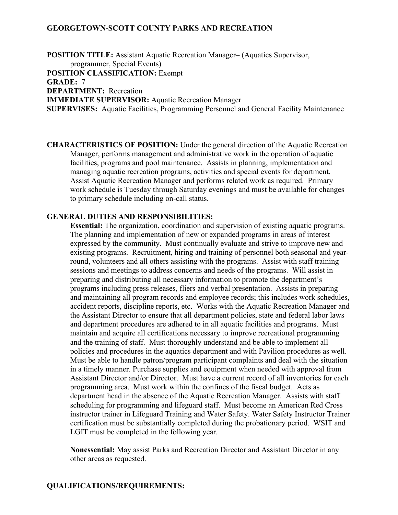## **GEORGETOWN-SCOTT COUNTY PARKS AND RECREATION**

**POSITION TITLE:** Assistant Aquatic Recreation Manager– (Aquatics Supervisor, programmer, Special Events) **POSITION CLASSIFICATION:** Exempt **GRADE:** 7 **DEPARTMENT:** Recreation **IMMEDIATE SUPERVISOR:** Aquatic Recreation Manager **SUPERVISES:** Aquatic Facilities, Programming Personnel and General Facility Maintenance

**CHARACTERISTICS OF POSITION:** Under the general direction of the Aquatic Recreation Manager, performs management and administrative work in the operation of aquatic facilities, programs and pool maintenance. Assists in planning, implementation and managing aquatic recreation programs, activities and special events for department. Assist Aquatic Recreation Manager and performs related work as required. Primary work schedule is Tuesday through Saturday evenings and must be available for changes to primary schedule including on-call status.

#### **GENERAL DUTIES AND RESPONSIBILITIES:**

**Essential:** The organization, coordination and supervision of existing aquatic programs. The planning and implementation of new or expanded programs in areas of interest expressed by the community. Must continually evaluate and strive to improve new and existing programs. Recruitment, hiring and training of personnel both seasonal and yearround, volunteers and all others assisting with the programs. Assist with staff training sessions and meetings to address concerns and needs of the programs. Will assist in preparing and distributing all necessary information to promote the department's programs including press releases, fliers and verbal presentation. Assists in preparing and maintaining all program records and employee records; this includes work schedules, accident reports, discipline reports, etc. Works with the Aquatic Recreation Manager and the Assistant Director to ensure that all department policies, state and federal labor laws and department procedures are adhered to in all aquatic facilities and programs. Must maintain and acquire all certifications necessary to improve recreational programming and the training of staff. Must thoroughly understand and be able to implement all policies and procedures in the aquatics department and with Pavilion procedures as well. Must be able to handle patron/program participant complaints and deal with the situation in a timely manner. Purchase supplies and equipment when needed with approval from Assistant Director and/or Director. Must have a current record of all inventories for each programming area. Must work within the confines of the fiscal budget. Acts as department head in the absence of the Aquatic Recreation Manager. Assists with staff scheduling for programming and lifeguard staff. Must become an American Red Cross instructor trainer in Lifeguard Training and Water Safety. Water Safety Instructor Trainer certification must be substantially completed during the probationary period. WSIT and LGIT must be completed in the following year.

**Nonessential:** May assist Parks and Recreation Director and Assistant Director in any other areas as requested.

### **QUALIFICATIONS/REQUIREMENTS:**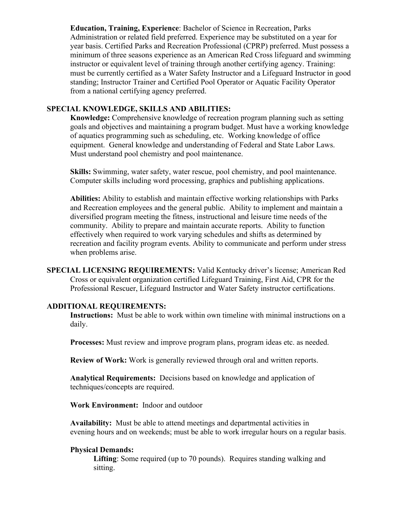**Education, Training, Experience**: Bachelor of Science in Recreation, Parks Administration or related field preferred. Experience may be substituted on a year for year basis. Certified Parks and Recreation Professional (CPRP) preferred. Must possess a minimum of three seasons experience as an American Red Cross lifeguard and swimming instructor or equivalent level of training through another certifying agency. Training: must be currently certified as a Water Safety Instructor and a Lifeguard Instructor in good standing; Instructor Trainer and Certified Pool Operator or Aquatic Facility Operator from a national certifying agency preferred.

# **SPECIAL KNOWLEDGE, SKILLS AND ABILITIES:**

**Knowledge:** Comprehensive knowledge of recreation program planning such as setting goals and objectives and maintaining a program budget. Must have a working knowledge of aquatics programming such as scheduling, etc. Working knowledge of office equipment. General knowledge and understanding of Federal and State Labor Laws. Must understand pool chemistry and pool maintenance.

**Skills:** Swimming, water safety, water rescue, pool chemistry, and pool maintenance. Computer skills including word processing, graphics and publishing applications.

**Abilities:** Ability to establish and maintain effective working relationships with Parks and Recreation employees and the general public. Ability to implement and maintain a diversified program meeting the fitness, instructional and leisure time needs of the community. Ability to prepare and maintain accurate reports. Ability to function effectively when required to work varying schedules and shifts as determined by recreation and facility program events. Ability to communicate and perform under stress when problems arise.

**SPECIAL LICENSING REQUIREMENTS:** Valid Kentucky driver's license; American Red Cross or equivalent organization certified Lifeguard Training, First Aid, CPR for the Professional Rescuer, Lifeguard Instructor and Water Safety instructor certifications.

### **ADDITIONAL REQUIREMENTS:**

**Instructions:** Must be able to work within own timeline with minimal instructions on a daily.

**Processes:** Must review and improve program plans, program ideas etc. as needed.

**Review of Work:** Work is generally reviewed through oral and written reports.

**Analytical Requirements:** Decisions based on knowledge and application of techniques/concepts are required.

### **Work Environment:** Indoor and outdoor

**Availability:** Must be able to attend meetings and departmental activities in evening hours and on weekends; must be able to work irregular hours on a regular basis.

### **Physical Demands:**

**Lifting**: Some required (up to 70 pounds). Requires standing walking and sitting.